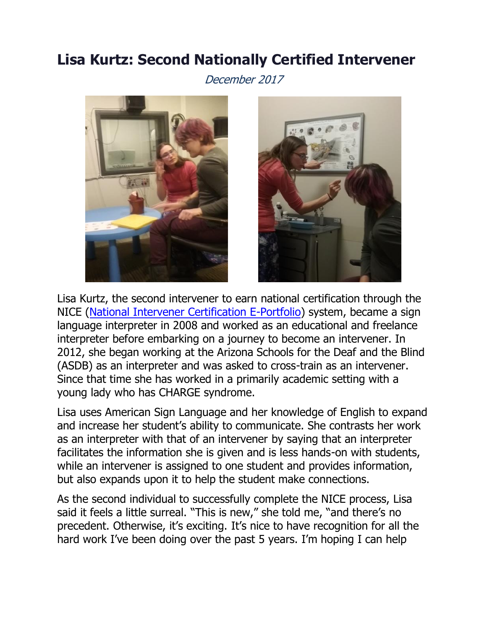## **Lisa Kurtz: Second Nationally Certified Intervener**

December 2017





Lisa Kurtz, the second intervener to earn national certification through the NICE [\(National Intervener Certification E-Portfolio\)](https://nationaldb.org/pages/show/national-intervener-certification-e-portfolio-nice/what-is-nice) system, became a sign language interpreter in 2008 and worked as an educational and freelance interpreter before embarking on a journey to become an intervener. In 2012, she began working at the Arizona Schools for the Deaf and the Blind (ASDB) as an interpreter and was asked to cross-train as an intervener. Since that time she has worked in a primarily academic setting with a young lady who has CHARGE syndrome.

Lisa uses American Sign Language and her knowledge of English to expand and increase her student's ability to communicate. She contrasts her work as an interpreter with that of an intervener by saying that an interpreter facilitates the information she is given and is less hands-on with students, while an intervener is assigned to one student and provides information, but also expands upon it to help the student make connections.

As the second individual to successfully complete the NICE process, Lisa said it feels a little surreal. "This is new," she told me, "and there's no precedent. Otherwise, it's exciting. It's nice to have recognition for all the hard work I've been doing over the past 5 years. I'm hoping I can help